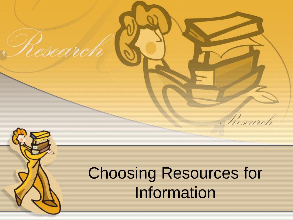

Research

## Choosing Resources for Information

Research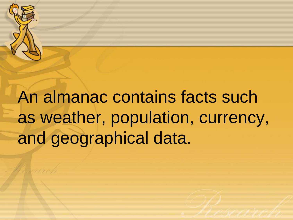

An almanac contains facts such as weather, population, currency, and geographical data.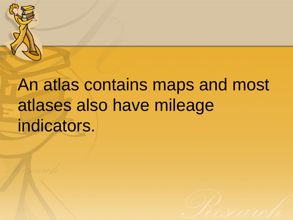

# An atlas contains maps and most atlases also have mileage indicators.

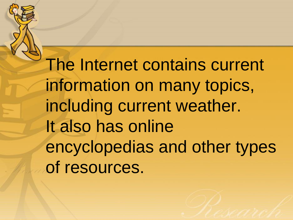The Internet contains current information on many topics, including current weather. It also has online encyclopedias and other types of resources.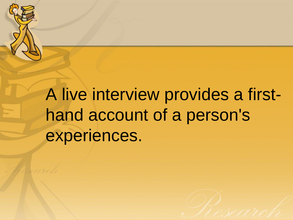

A live interview provides a firsthand account of a person's experiences.

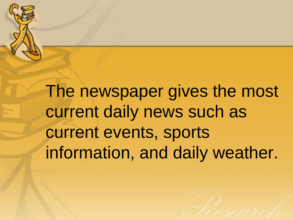

The newspaper gives the most current daily news such as current events, sports information, and daily weather.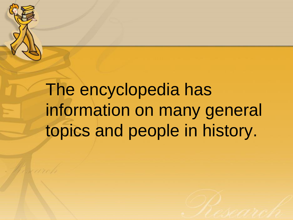

The encyclopedia has information on many general topics and people in history.

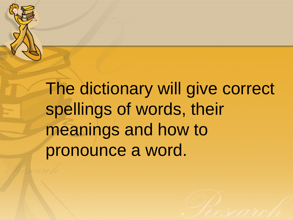

The dictionary will give correct spellings of words, their meanings and how to pronounce a word.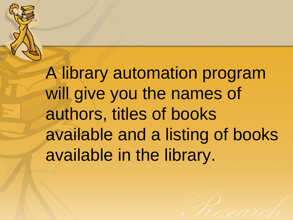

A library automation program will give you the names of authors, titles of books available and a listing of books available in the library.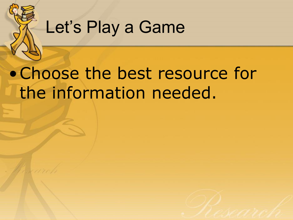

### Let's Play a Game

### •Choose the best resource for the information needed.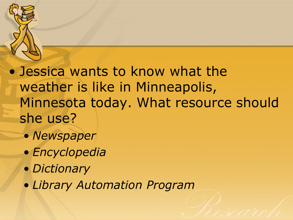

• Jessica wants to know what the weather is like in Minneapolis, Minnesota today. What resource should she use?

- *Newspaper*
- *Encyclopedia*
- *Dictionary*
- *Library Automation Program*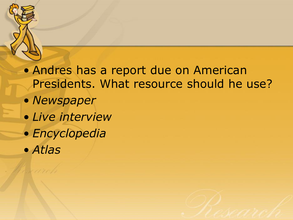

- *Newspaper*
- *Live interview*
- *Encyclopedia*
- *Atlas*

du arrib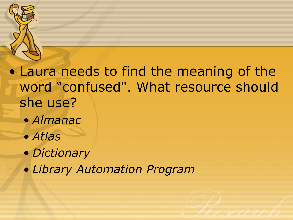

#### • Laura needs to find the meaning of the word "confused". What resource should she use?

- *Almanac*
- *Atlas*
- *Dictionary*
- *Library Automation Program*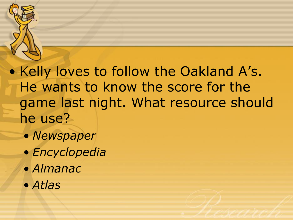

• Kelly loves to follow the Oakland A's. He wants to know the score for the game last night. What resource should he use?

- *Newspaper*
- *Encyclopedia*
- *Almanac*
- *Atlas*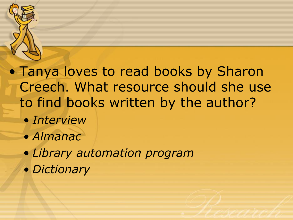

- *Interview*
- *Almanac*
- *Library automation program*
- *Dictionary*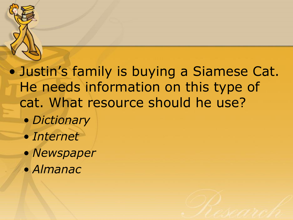

• Justin's family is buying a Siamese Cat. He needs information on this type of cat. What resource should he use?

- *Dictionary*
- *Internet*
- *Newspaper*
- *Almanac*

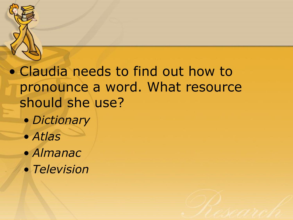

#### • Claudia needs to find out how to pronounce a word. What resource should she use?

- *Dictionary*
- *Atlas*
- *Almanac*
- *Television*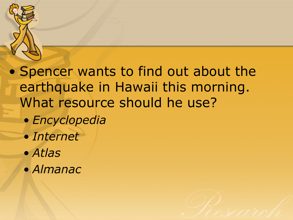

• Spencer wants to find out about the earthquake in Hawaii this morning. What resource should he use?

- *Encyclopedia*
- *Internet*
- *Atlas*
- *Almanac*

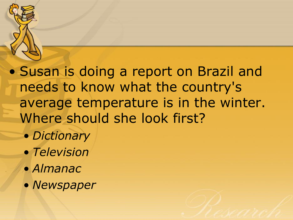

• Susan is doing a report on Brazil and needs to know what the country's average temperature is in the winter. Where should she look first?

- *Dictionary*
- *Television*
- *Almanac*
- *Newspaper*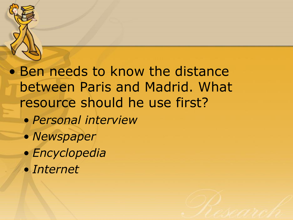

#### • Ben needs to know the distance between Paris and Madrid. What resource should he use first?

- *Personal interview*
- *Newspaper*
- *Encyclopedia*
- *Internet*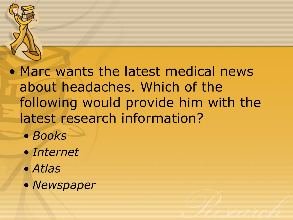

• Marc wants the latest medical news about headaches. Which of the following would provide him with the latest research information?

- *Books*
- *Internet*
- *Atlas*
- *Newspaper*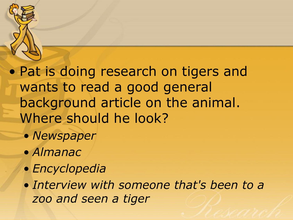

• Pat is doing research on tigers and wants to read a good general background article on the animal. Where should he look?

- *Newspaper*
- *Almanac*
- *Encyclopedia*

• *Interview with someone that's been to a zoo and seen a tiger*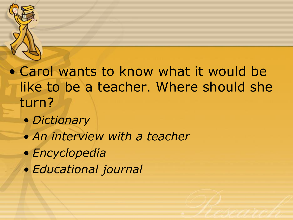

#### • Carol wants to know what it would be like to be a teacher. Where should she turn?

- *Dictionary*
- *An interview with a teacher*
- *Encyclopedia*
- *Educational journal*